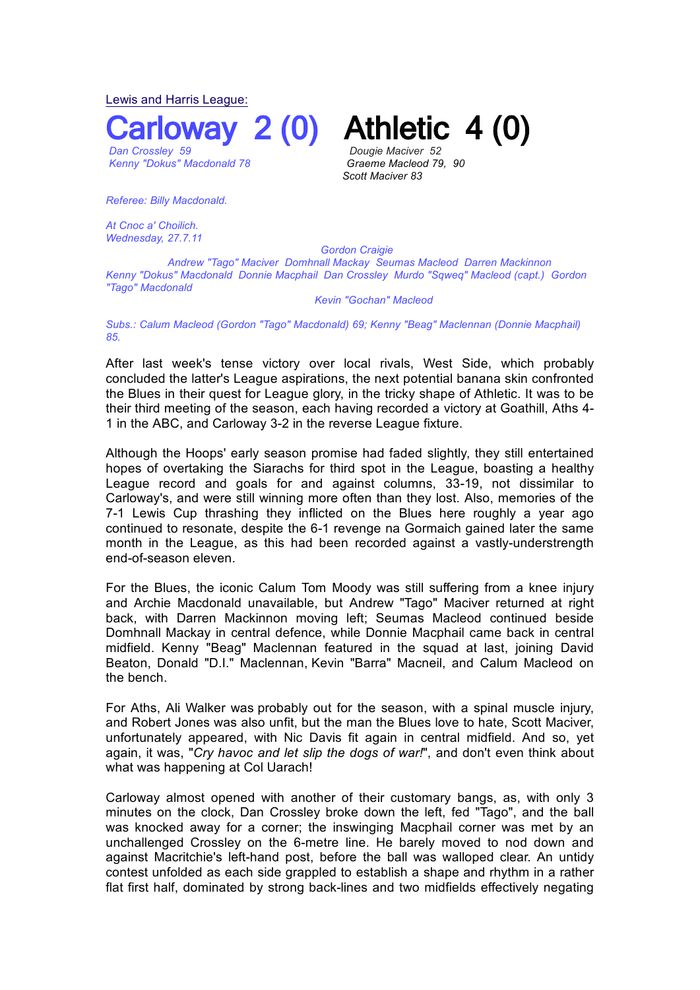Lewis and Harris League:

 *Dan Crossley 59 Dougie Maciver 52* 

*Kenny* "Dokus" Macdonald 78

**COVERY 2 (0) Athletic 4 (0)** 

*Scott Maciver 83*

*Referee: Billy Macdonald.*

*At Cnoc a' Choilich. Wednesday, 27.7.11* 

 *Gordon Craigie*

 *Andrew "Tago" Maciver Domhnall Mackay Seumas Macleod Darren Mackinnon Kenny "Dokus" Macdonald Donnie Macphail Dan Crossley Murdo "Sqweq" Macleod (capt.) Gordon "Tago" Macdonald*

## *Kevin "Gochan" Macleod*

*Subs.: Calum Macleod (Gordon "Tago" Macdonald) 69; Kenny "Beag" Maclennan (Donnie Macphail) 85.*

After last week's tense victory over local rivals, West Side, which probably concluded the latter's League aspirations, the next potential banana skin confronted the Blues in their quest for League glory, in the tricky shape of Athletic. It was to be their third meeting of the season, each having recorded a victory at Goathill, Aths 4- 1 in the ABC, and Carloway 3-2 in the reverse League fixture.

Although the Hoops' early season promise had faded slightly, they still entertained hopes of overtaking the Siarachs for third spot in the League, boasting a healthy League record and goals for and against columns, 33-19, not dissimilar to Carloway's, and were still winning more often than they lost. Also, memories of the 7-1 Lewis Cup thrashing they inflicted on the Blues here roughly a year ago continued to resonate, despite the 6-1 revenge na Gormaich gained later the same month in the League, as this had been recorded against a vastly-understrength end-of-season eleven.

For the Blues, the iconic Calum Tom Moody was still suffering from a knee injury and Archie Macdonald unavailable, but Andrew "Tago" Maciver returned at right back, with Darren Mackinnon moving left; Seumas Macleod continued beside Domhnall Mackay in central defence, while Donnie Macphail came back in central midfield. Kenny "Beag" Maclennan featured in the squad at last, joining David Beaton, Donald "D.I." Maclennan, Kevin "Barra" Macneil, and Calum Macleod on the bench.

For Aths, Ali Walker was probably out for the season, with a spinal muscle injury, and Robert Jones was also unfit, but the man the Blues love to hate, Scott Maciver, unfortunately appeared, with Nic Davis fit again in central midfield. And so, yet again, it was, "*Cry havoc and let slip the dogs of war!*", and don't even think about what was happening at Col Uarach!

Carloway almost opened with another of their customary bangs, as, with only 3 minutes on the clock, Dan Crossley broke down the left, fed "Tago", and the ball was knocked away for a corner; the inswinging Macphail corner was met by an unchallenged Crossley on the 6-metre line. He barely moved to nod down and against Macritchie's left-hand post, before the ball was walloped clear. An untidy contest unfolded as each side grappled to establish a shape and rhythm in a rather flat first half, dominated by strong back-lines and two midfields effectively negating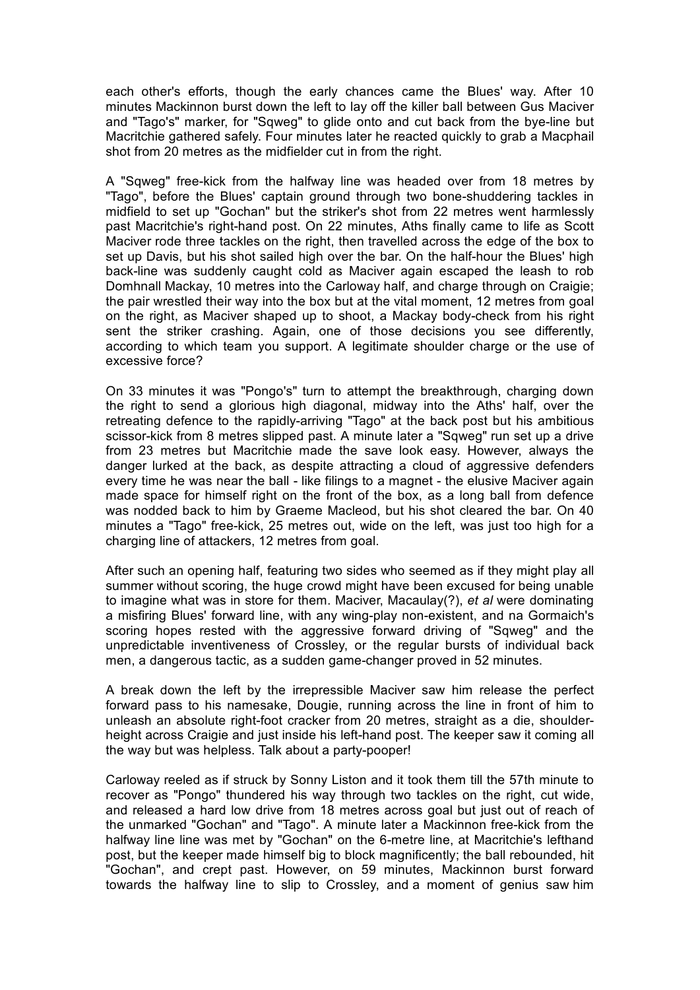each other's efforts, though the early chances came the Blues' way. After 10 minutes Mackinnon burst down the left to lay off the killer ball between Gus Maciver and "Tago's" marker, for "Sqweg" to glide onto and cut back from the bye-line but Macritchie gathered safely. Four minutes later he reacted quickly to grab a Macphail shot from 20 metres as the midfielder cut in from the right.

A "Sqweg" free-kick from the halfway line was headed over from 18 metres by "Tago", before the Blues' captain ground through two bone-shuddering tackles in midfield to set up "Gochan" but the striker's shot from 22 metres went harmlessly past Macritchie's right-hand post. On 22 minutes, Aths finally came to life as Scott Maciver rode three tackles on the right, then travelled across the edge of the box to set up Davis, but his shot sailed high over the bar. On the half-hour the Blues' high back-line was suddenly caught cold as Maciver again escaped the leash to rob Domhnall Mackay, 10 metres into the Carloway half, and charge through on Craigie; the pair wrestled their way into the box but at the vital moment, 12 metres from goal on the right, as Maciver shaped up to shoot, a Mackay body-check from his right sent the striker crashing. Again, one of those decisions you see differently, according to which team you support. A legitimate shoulder charge or the use of excessive force?

On 33 minutes it was "Pongo's" turn to attempt the breakthrough, charging down the right to send a glorious high diagonal, midway into the Aths' half, over the retreating defence to the rapidly-arriving "Tago" at the back post but his ambitious scissor-kick from 8 metres slipped past. A minute later a "Sqweg" run set up a drive from 23 metres but Macritchie made the save look easy. However, always the danger lurked at the back, as despite attracting a cloud of aggressive defenders every time he was near the ball - like filings to a magnet - the elusive Maciver again made space for himself right on the front of the box, as a long ball from defence was nodded back to him by Graeme Macleod, but his shot cleared the bar. On 40 minutes a "Tago" free-kick, 25 metres out, wide on the left, was just too high for a charging line of attackers, 12 metres from goal.

After such an opening half, featuring two sides who seemed as if they might play all summer without scoring, the huge crowd might have been excused for being unable to imagine what was in store for them. Maciver, Macaulay(?), *et al* were dominating a misfiring Blues' forward line, with any wing-play non-existent, and na Gormaich's scoring hopes rested with the aggressive forward driving of "Sqweg" and the unpredictable inventiveness of Crossley, or the regular bursts of individual back men, a dangerous tactic, as a sudden game-changer proved in 52 minutes.

A break down the left by the irrepressible Maciver saw him release the perfect forward pass to his namesake, Dougie, running across the line in front of him to unleash an absolute right-foot cracker from 20 metres, straight as a die, shoulderheight across Craigie and just inside his left-hand post. The keeper saw it coming all the way but was helpless. Talk about a party-pooper!

Carloway reeled as if struck by Sonny Liston and it took them till the 57th minute to recover as "Pongo" thundered his way through two tackles on the right, cut wide, and released a hard low drive from 18 metres across goal but just out of reach of the unmarked "Gochan" and "Tago". A minute later a Mackinnon free-kick from the halfway line line was met by "Gochan" on the 6-metre line, at Macritchie's lefthand post, but the keeper made himself big to block magnificently; the ball rebounded, hit "Gochan", and crept past. However, on 59 minutes, Mackinnon burst forward towards the halfway line to slip to Crossley, and a moment of genius saw him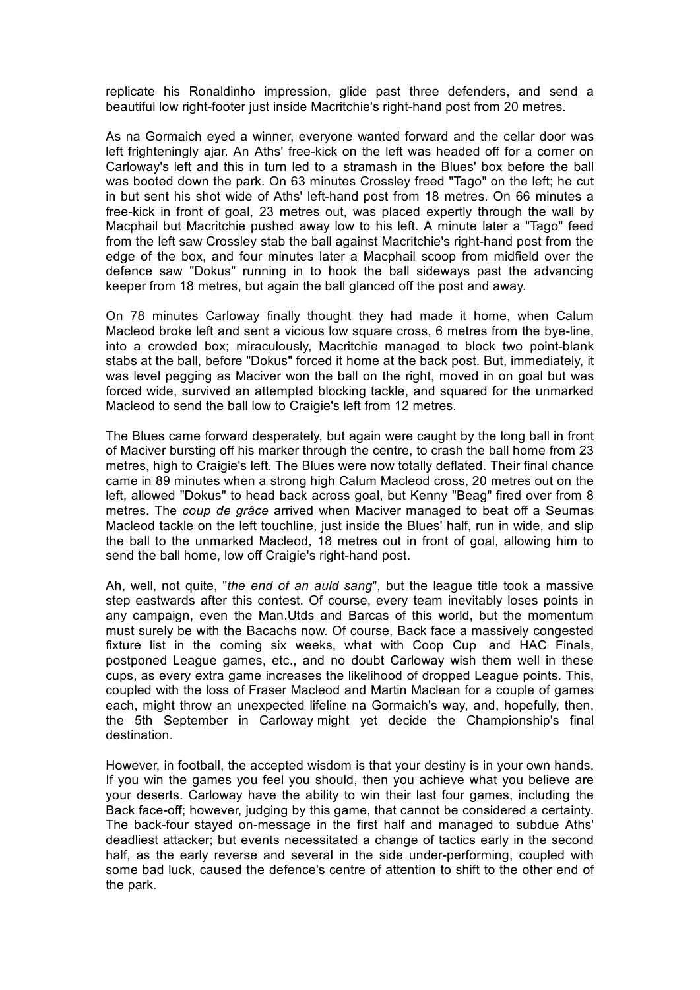replicate his Ronaldinho impression, glide past three defenders, and send a beautiful low right-footer just inside Macritchie's right-hand post from 20 metres.

As na Gormaich eyed a winner, everyone wanted forward and the cellar door was left frighteningly ajar. An Aths' free-kick on the left was headed off for a corner on Carloway's left and this in turn led to a stramash in the Blues' box before the ball was booted down the park. On 63 minutes Crossley freed "Tago" on the left; he cut in but sent his shot wide of Aths' left-hand post from 18 metres. On 66 minutes a free-kick in front of goal, 23 metres out, was placed expertly through the wall by Macphail but Macritchie pushed away low to his left. A minute later a "Tago" feed from the left saw Crossley stab the ball against Macritchie's right-hand post from the edge of the box, and four minutes later a Macphail scoop from midfield over the defence saw "Dokus" running in to hook the ball sideways past the advancing keeper from 18 metres, but again the ball glanced off the post and away.

On 78 minutes Carloway finally thought they had made it home, when Calum Macleod broke left and sent a vicious low square cross, 6 metres from the bye-line, into a crowded box; miraculously, Macritchie managed to block two point-blank stabs at the ball, before "Dokus" forced it home at the back post. But, immediately, it was level pegging as Maciver won the ball on the right, moved in on goal but was forced wide, survived an attempted blocking tackle, and squared for the unmarked Macleod to send the ball low to Craigie's left from 12 metres.

The Blues came forward desperately, but again were caught by the long ball in front of Maciver bursting off his marker through the centre, to crash the ball home from 23 metres, high to Craigie's left. The Blues were now totally deflated. Their final chance came in 89 minutes when a strong high Calum Macleod cross, 20 metres out on the left, allowed "Dokus" to head back across goal, but Kenny "Beag" fired over from 8 metres. The *coup de grâce* arrived when Maciver managed to beat off a Seumas Macleod tackle on the left touchline, just inside the Blues' half, run in wide, and slip the ball to the unmarked Macleod, 18 metres out in front of goal, allowing him to send the ball home, low off Craigie's right-hand post.

Ah, well, not quite, "*the end of an auld sang*", but the league title took a massive step eastwards after this contest. Of course, every team inevitably loses points in any campaign, even the Man.Utds and Barcas of this world, but the momentum must surely be with the Bacachs now. Of course, Back face a massively congested fixture list in the coming six weeks, what with Coop Cup and HAC Finals, postponed League games, etc., and no doubt Carloway wish them well in these cups, as every extra game increases the likelihood of dropped League points. This, coupled with the loss of Fraser Macleod and Martin Maclean for a couple of games each, might throw an unexpected lifeline na Gormaich's way, and, hopefully, then, the 5th September in Carloway might yet decide the Championship's final destination.

However, in football, the accepted wisdom is that your destiny is in your own hands. If you win the games you feel you should, then you achieve what you believe are your deserts. Carloway have the ability to win their last four games, including the Back face-off; however, judging by this game, that cannot be considered a certainty. The back-four stayed on-message in the first half and managed to subdue Aths' deadliest attacker; but events necessitated a change of tactics early in the second half, as the early reverse and several in the side under-performing, coupled with some bad luck, caused the defence's centre of attention to shift to the other end of the park.